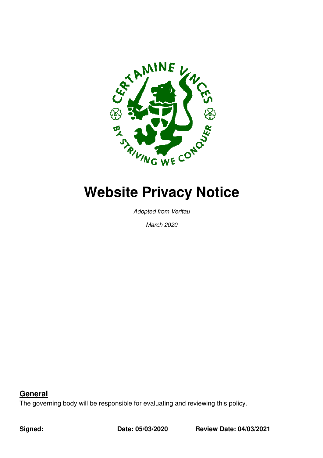

Adopted from Veritau

March 2020

**General**

The governing body will be responsible for evaluating and reviewing this policy.

**Signed:** 

**Date: 05/03/2020** 

**Date: 04/03/2021**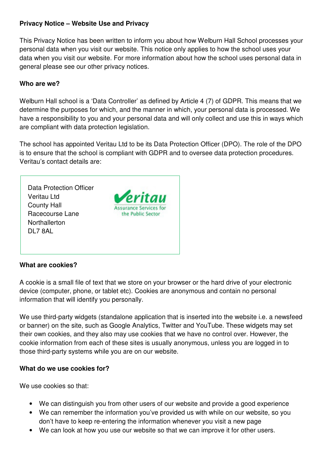## **Privacy Notice – Website Use and Privacy**

This Privacy Notice has been written to inform you about how Welburn Hall School processes your personal data when you visit our website. This notice only applies to how the school uses your data when you visit our website. For more information about how the school uses personal data in general please see our other privacy notices.

### **Who are we?**

Welburn Hall school is a 'Data Controller' as defined by Article 4 (7) of GDPR. This means that we determine the purposes for which, and the manner in which, your personal data is processed. We have a responsibility to you and your personal data and will only collect and use this in ways which are compliant with data protection legislation.

The school has appointed Veritau Ltd to be its Data Protection Officer (DPO). The role of the DPO is to ensure that the school is compliant with GDPR and to oversee data protection procedures. Veritau's contact details are:

Data Protection Officer Veritau Ltd County Hall Racecourse Lane **Northallerton** DL7 8AL



# **What are cookies?**

A cookie is a small file of text that we store on your browser or the hard drive of your electronic device (computer, phone, or tablet etc). Cookies are anonymous and contain no personal information that will identify you personally.

We use third-party widgets (standalone application that is inserted into the website i.e. a newsfeed or banner) on the site, such as Google Analytics, Twitter and YouTube. These widgets may set their own cookies, and they also may use cookies that we have no control over. However, the cookie information from each of these sites is usually anonymous, unless you are logged in to those third-party systems while you are on our website.

# **What do we use cookies for?**

We use cookies so that:

- We can distinguish you from other users of our website and provide a good experience
- We can remember the information you've provided us with while on our website, so you don't have to keep re-entering the information whenever you visit a new page
- We can look at how you use our website so that we can improve it for other users.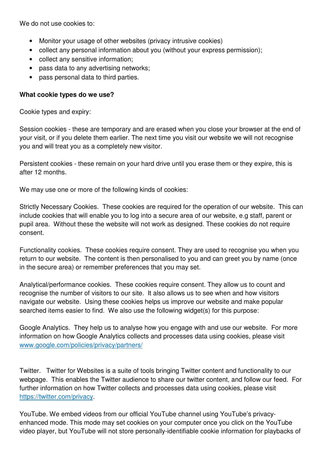We do not use cookies to:

- Monitor your usage of other websites (privacy intrusive cookies)
- collect any personal information about you (without your express permission);
- collect any sensitive information;
- pass data to any advertising networks;
- pass personal data to third parties.

## **What cookie types do we use?**

Cookie types and expiry:

Session cookies - these are temporary and are erased when you close your browser at the end of your visit, or if you delete them earlier. The next time you visit our website we will not recognise you and will treat you as a completely new visitor.

Persistent cookies - these remain on your hard drive until you erase them or they expire, this is after 12 months.

We may use one or more of the following kinds of cookies:

Strictly Necessary Cookies. These cookies are required for the operation of our website. This can include cookies that will enable you to log into a secure area of our website, e.g staff, parent or pupil area. Without these the website will not work as designed. These cookies do not require consent.

Functionality cookies. These cookies require consent. They are used to recognise you when you return to our website. The content is then personalised to you and can greet you by name (once in the secure area) or remember preferences that you may set.

Analytical/performance cookies. These cookies require consent. They allow us to count and recognise the number of visitors to our site. It also allows us to see when and how visitors navigate our website. Using these cookies helps us improve our website and make popular searched items easier to find. We also use the following widget(s) for this purpose:

Google Analytics. They help us to analyse how you engage with and use our website. For more information on how Google Analytics collects and processes data using cookies, please visit www.google.com/policies/privacy/partners/

Twitter. Twitter for Websites is a suite of tools bringing Twitter content and functionality to our webpage. This enables the Twitter audience to share our twitter content, and follow our feed. For further information on how Twitter collects and processes data using cookies, please visit https://twitter.com/privacy.

YouTube. We embed videos from our official YouTube channel using YouTube's privacyenhanced mode. This mode may set cookies on your computer once you click on the YouTube video player, but YouTube will not store personally-identifiable cookie information for playbacks of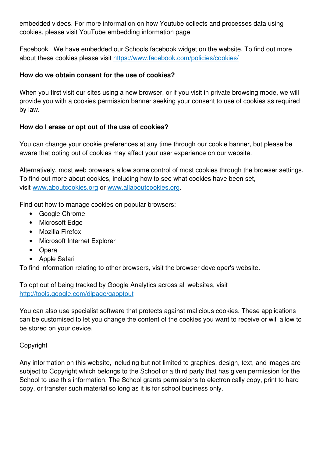embedded videos. For more information on how Youtube collects and processes data using cookies, please visit YouTube embedding information page

Facebook. We have embedded our Schools facebook widget on the website. To find out more about these cookies please visit https://www.facebook.com/policies/cookies/

## **How do we obtain consent for the use of cookies?**

When you first visit our sites using a new browser, or if you visit in private browsing mode, we will provide you with a cookies permission banner seeking your consent to use of cookies as required by law.

## **How do I erase or opt out of the use of cookies?**

You can change your cookie preferences at any time through our cookie banner, but please be aware that opting out of cookies may affect your user experience on our website.

Alternatively, most web browsers allow some control of most cookies through the browser settings. To find out more about cookies, including how to see what cookies have been set, visit www.aboutcookies.org or www.allaboutcookies.org.

Find out how to manage cookies on popular browsers:

- Google Chrome
- Microsoft Edge
- Mozilla Firefox
- Microsoft Internet Explorer
- Opera
- Apple Safari

To find information relating to other browsers, visit the browser developer's website.

To opt out of being tracked by Google Analytics across all websites, visit http://tools.google.com/dlpage/gaoptout

You can also use specialist software that protects against malicious cookies. These applications can be customised to let you change the content of the cookies you want to receive or will allow to be stored on your device.

# Copyright

Any information on this website, including but not limited to graphics, design, text, and images are subject to Copyright which belongs to the School or a third party that has given permission for the School to use this information. The School grants permissions to electronically copy, print to hard copy, or transfer such material so long as it is for school business only.